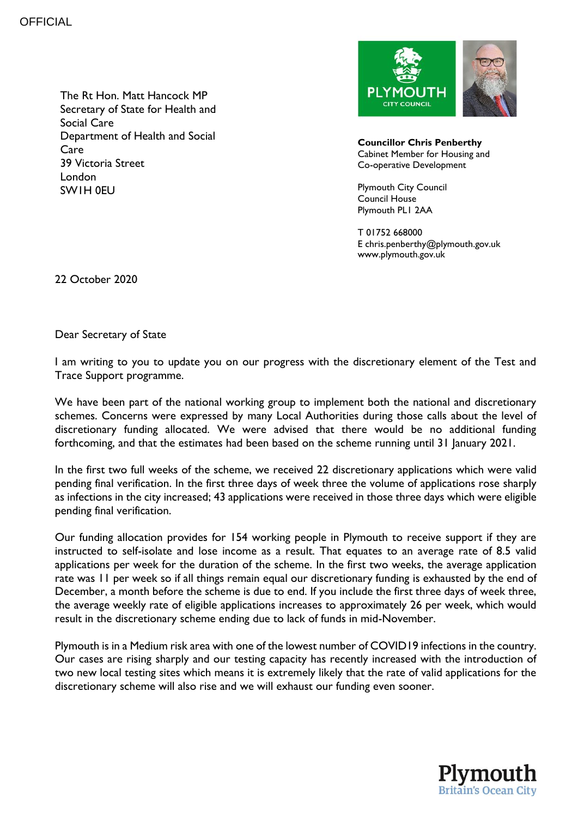**OFFICIAL** 

The Rt Hon. Matt Hancock MP Secretary of State for Health and Social Care Department of Health and Social Care 39 Victoria Street London SW1H 0EU



**Councillor Chris Penberthy** Cabinet Member for Housing and Co-operative Development

Plymouth City Council Council House Plymouth PL1 2AA

T 01752 668000 E chris.penberthy@plymouth.gov.uk www.plymouth.gov.uk

22 October 2020

Dear Secretary of State

I am writing to you to update you on our progress with the discretionary element of the Test and Trace Support programme.

We have been part of the national working group to implement both the national and discretionary schemes. Concerns were expressed by many Local Authorities during those calls about the level of discretionary funding allocated. We were advised that there would be no additional funding forthcoming, and that the estimates had been based on the scheme running until 31 January 2021.

In the first two full weeks of the scheme, we received 22 discretionary applications which were valid pending final verification. In the first three days of week three the volume of applications rose sharply as infections in the city increased; 43 applications were received in those three days which were eligible pending final verification.

Our funding allocation provides for 154 working people in Plymouth to receive support if they are instructed to self-isolate and lose income as a result. That equates to an average rate of 8.5 valid applications per week for the duration of the scheme. In the first two weeks, the average application rate was 11 per week so if all things remain equal our discretionary funding is exhausted by the end of December, a month before the scheme is due to end. If you include the first three days of week three, the average weekly rate of eligible applications increases to approximately 26 per week, which would result in the discretionary scheme ending due to lack of funds in mid-November.

Plymouth is in a Medium risk area with one of the lowest number of COVID19 infections in the country. Our cases are rising sharply and our testing capacity has recently increased with the introduction of two new local testing sites which means it is extremely likely that the rate of valid applications for the discretionary scheme will also rise and we will exhaust our funding even sooner.